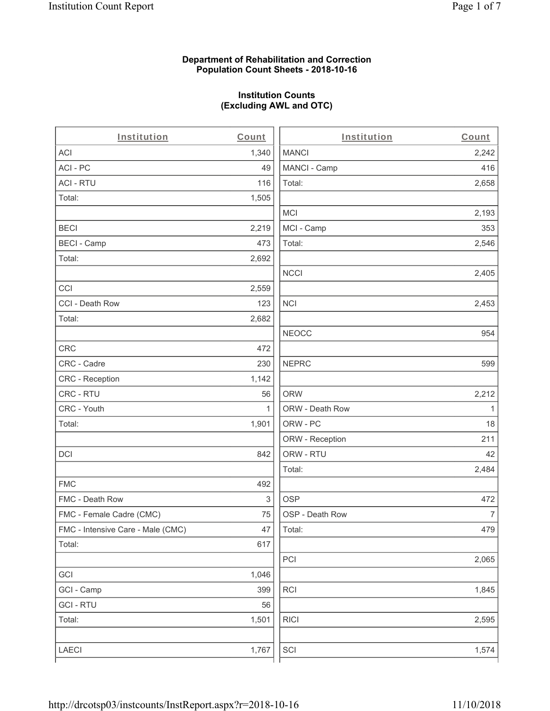### **Department of Rehabilitation and Correction Population Count Sheets - 2018-10-16**

# **Institution Counts (Excluding AWL and OTC)**

| Institution                       | Count        | Institution     | Count        |
|-----------------------------------|--------------|-----------------|--------------|
| ACI                               | 1,340        | <b>MANCI</b>    | 2,242        |
| ACI - PC                          | 49           | MANCI - Camp    | 416          |
| <b>ACI - RTU</b>                  | 116          | Total:          | 2,658        |
| Total:                            | 1,505        |                 |              |
|                                   |              | <b>MCI</b>      | 2,193        |
| <b>BECI</b>                       | 2,219        | MCI - Camp      | 353          |
| <b>BECI - Camp</b>                | 473          | Total:          | 2,546        |
| Total:                            | 2,692        |                 |              |
|                                   |              | <b>NCCI</b>     | 2,405        |
| CCI                               | 2,559        |                 |              |
| CCI - Death Row                   | 123          | <b>NCI</b>      | 2,453        |
| Total:                            | 2,682        |                 |              |
|                                   |              | <b>NEOCC</b>    | 954          |
| CRC                               | 472          |                 |              |
| CRC - Cadre                       | 230          | <b>NEPRC</b>    | 599          |
| CRC - Reception                   | 1,142        |                 |              |
| CRC - RTU                         | 56           | <b>ORW</b>      | 2,212        |
| CRC - Youth                       | $\mathbf{1}$ | ORW - Death Row | $\mathbf{1}$ |
| Total:                            | 1,901        | ORW - PC        | 18           |
|                                   |              | ORW - Reception | 211          |
| DCI                               | 842          | ORW - RTU       | 42           |
|                                   |              | Total:          | 2,484        |
| <b>FMC</b>                        | 492          |                 |              |
| FMC - Death Row                   | 3            | <b>OSP</b>      | 472          |
| FMC - Female Cadre (CMC)          | 75           | OSP - Death Row | 7            |
| FMC - Intensive Care - Male (CMC) | 47           | Total:          | 479          |
| Total:                            | 617          |                 |              |
|                                   |              | PCI             | 2,065        |
| GCI                               | 1,046        |                 |              |
| GCI - Camp                        | 399          | <b>RCI</b>      | 1,845        |
| <b>GCI - RTU</b>                  | 56           |                 |              |
| Total:                            | 1,501        | <b>RICI</b>     | 2,595        |
|                                   |              |                 |              |
| LAECI                             | 1,767        | SCI             | 1,574        |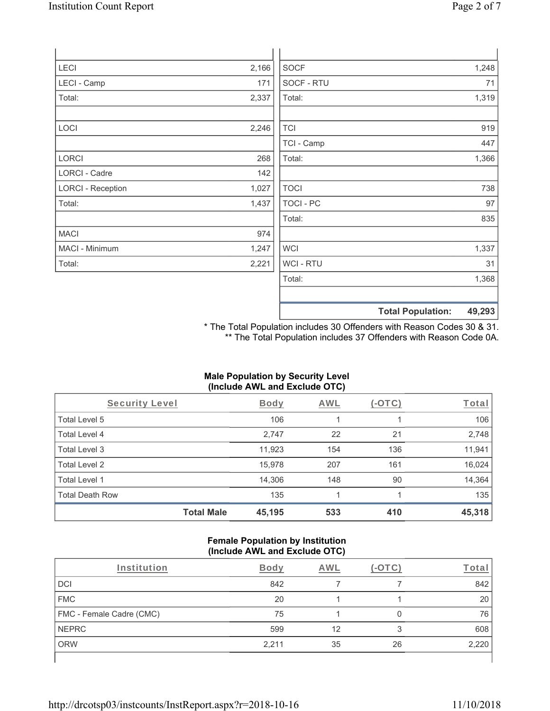| <b>LECI</b>              | 2,166 | <b>SOCF</b>      |                          | 1,248  |
|--------------------------|-------|------------------|--------------------------|--------|
| LECI - Camp              | 171   | SOCF - RTU       |                          | 71     |
| Total:                   | 2,337 | Total:           |                          | 1,319  |
| LOCI                     | 2,246 | <b>TCI</b>       |                          | 919    |
|                          |       | TCI - Camp       |                          | 447    |
| <b>LORCI</b>             | 268   | Total:           |                          | 1,366  |
| LORCI - Cadre            | 142   |                  |                          |        |
| <b>LORCI - Reception</b> | 1,027 | <b>TOCI</b>      |                          | 738    |
| Total:                   | 1,437 | <b>TOCI - PC</b> |                          | 97     |
|                          |       | Total:           |                          | 835    |
| <b>MACI</b>              | 974   |                  |                          |        |
| MACI - Minimum           | 1,247 | <b>WCI</b>       |                          | 1,337  |
| Total:                   | 2,221 | WCI - RTU        |                          | 31     |
|                          |       | Total:           |                          | 1,368  |
|                          |       |                  | <b>Total Population:</b> | 49,293 |

\* The Total Population includes 30 Offenders with Reason Codes 30 & 31. \*\* The Total Population includes 37 Offenders with Reason Code 0A.

### **Male Population by Security Level (Include AWL and Exclude OTC)**

| Security Level         |                   | <b>Body</b> | <b>AWL</b> | $(-\text{OTC})$ | Total  |
|------------------------|-------------------|-------------|------------|-----------------|--------|
| Total Level 5          |                   | 106         |            |                 | 106    |
| Total Level 4          |                   | 2,747       | 22         | 21              | 2,748  |
| Total Level 3          |                   | 11,923      | 154        | 136             | 11,941 |
| Total Level 2          |                   | 15,978      | 207        | 161             | 16,024 |
| Total Level 1          |                   | 14,306      | 148        | 90              | 14,364 |
| <b>Total Death Row</b> |                   | 135         |            |                 | 135    |
|                        | <b>Total Male</b> | 45,195      | 533        | 410             | 45,318 |

#### **Female Population by Institution (Include AWL and Exclude OTC)**

| Institution              | Body  | AWL |    | Tota  |
|--------------------------|-------|-----|----|-------|
| DCI                      | 842   |     |    | 842   |
| <b>FMC</b>               | 20    |     |    | 20    |
| FMC - Female Cadre (CMC) | 75    |     |    | 76    |
| NEPRC                    | 599   | 12  | 3  | 608   |
| <b>ORW</b>               | 2,211 | 35  | 26 | 2,220 |
|                          |       |     |    |       |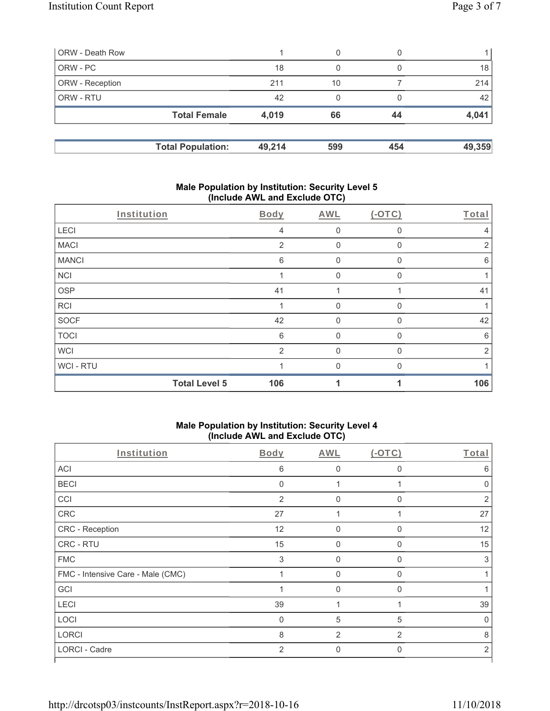| <b>ORW</b> - Death Row |                          |        | 0   |     |        |
|------------------------|--------------------------|--------|-----|-----|--------|
| ORW - PC               |                          | 18     | 0   |     | 18     |
| <b>ORW</b> - Reception |                          | 211    | 10  |     | 214    |
| ORW - RTU              |                          | 42     | 0   |     | 42     |
|                        | <b>Total Female</b>      | 4,019  | 66  | 44  | 4,041  |
|                        | <b>Total Population:</b> | 49,214 | 599 | 454 | 49,359 |

### **Male Population by Institution: Security Level 5 (Include AWL and Exclude OTC)**

| Institution  |                      | Body | AWL         | $(-OTC)$ | Total          |
|--------------|----------------------|------|-------------|----------|----------------|
| LECI         |                      | 4    | $\mathbf 0$ | $\Omega$ | $\overline{4}$ |
| <b>MACI</b>  |                      | 2    | $\mathbf 0$ | 0        | 2              |
| <b>MANCI</b> |                      | 6    | $\Omega$    | 0        | 6              |
| <b>NCI</b>   |                      |      | $\Omega$    | O        |                |
| <b>OSP</b>   |                      | 41   |             |          | 41             |
| <b>RCI</b>   |                      |      | $\Omega$    | $\Omega$ |                |
| SOCF         |                      | 42   | $\mathbf 0$ | $\Omega$ | 42             |
| <b>TOCI</b>  |                      | 6    | $\Omega$    | $\Omega$ | 6              |
| <b>WCI</b>   |                      | 2    | $\mathbf 0$ | $\Omega$ | 2              |
| WCI-RTU      |                      |      | $\Omega$    | $\Omega$ |                |
|              | <b>Total Level 5</b> | 106  | 1           |          | 106            |

### **Male Population by Institution: Security Level 4 (Include AWL and Exclude OTC)**

| Institution                       | Body                      | <b>AWL</b>     | (OTC)          | Total          |
|-----------------------------------|---------------------------|----------------|----------------|----------------|
| <b>ACI</b>                        | 6                         | 0              | $\mathbf 0$    | 6              |
| <b>BECI</b>                       | $\mathbf{0}$              |                |                | $\Omega$       |
| CCI                               | $\overline{2}$            | $\Omega$       | $\Omega$       | $\overline{2}$ |
| CRC                               | 27                        |                |                | 27             |
| CRC - Reception                   | 12                        | 0              | $\Omega$       | 12             |
| CRC - RTU                         | 15                        | $\Omega$       | $\Omega$       | 15             |
| <b>FMC</b>                        | $\ensuremath{\mathsf{3}}$ | $\mathbf 0$    | $\Omega$       | 3              |
| FMC - Intensive Care - Male (CMC) | 1                         | $\overline{0}$ | $\mathbf{0}$   |                |
| GCI                               | 1                         | $\overline{0}$ | $\Omega$       |                |
| LECI                              | 39                        |                |                | 39             |
| LOCI                              | $\mathbf 0$               | 5              | 5              | 0              |
| <b>LORCI</b>                      | 8                         | $\overline{2}$ | $\overline{2}$ | 8              |
| LORCI - Cadre                     | 2                         | $\mathbf 0$    | $\Omega$       | 2              |
|                                   |                           |                |                |                |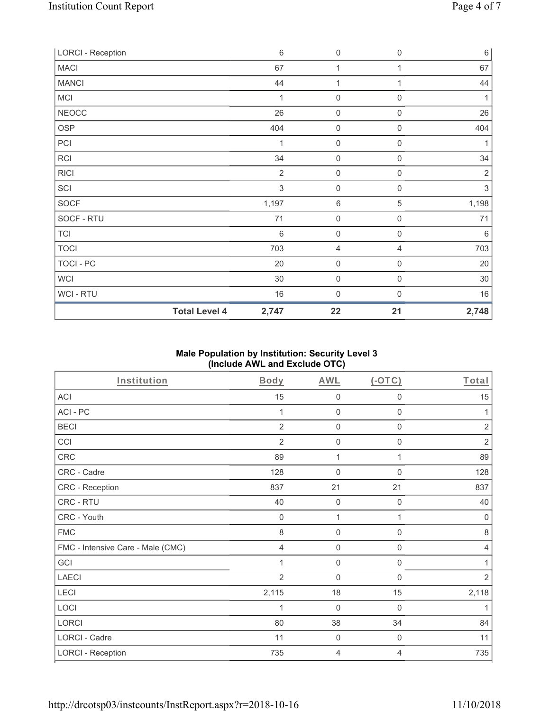| <b>LORCI - Reception</b> |                      | $\,6\,$        | $\mathsf 0$         | 0                   | $\,6\,$        |
|--------------------------|----------------------|----------------|---------------------|---------------------|----------------|
| <b>MACI</b>              |                      | 67             | 1                   | 1                   | 67             |
| <b>MANCI</b>             |                      | 44             | 1                   | 1                   | 44             |
| MCI                      |                      | 1              | $\mathbf 0$         | 0                   | 1              |
| <b>NEOCC</b>             |                      | 26             | $\mathsf{O}\xspace$ | $\boldsymbol{0}$    | 26             |
| OSP                      |                      | 404            | $\mathsf{O}\xspace$ | $\mathsf{O}\xspace$ | 404            |
| PCI                      |                      | 1              | $\boldsymbol{0}$    | $\boldsymbol{0}$    | 1              |
| <b>RCI</b>               |                      | 34             | $\boldsymbol{0}$    | $\boldsymbol{0}$    | 34             |
| <b>RICI</b>              |                      | $\overline{2}$ | $\mathsf{O}\xspace$ | $\boldsymbol{0}$    | $\overline{2}$ |
| SCI                      |                      | 3              | $\mathsf{O}\xspace$ | $\boldsymbol{0}$    | $\sqrt{3}$     |
| SOCF                     |                      | 1,197          | $\,6\,$             | $\,$ 5 $\,$         | 1,198          |
| SOCF - RTU               |                      | 71             | $\mathbf 0$         | $\mathsf{O}\xspace$ | 71             |
| <b>TCI</b>               |                      | $\,6\,$        | $\mathbf 0$         | $\mathsf{O}\xspace$ | $6\,$          |
| <b>TOCI</b>              |                      | 703            | $\overline{4}$      | $\overline{4}$      | 703            |
| TOCI - PC                |                      | 20             | $\mathbf 0$         | 0                   | $20\,$         |
| WCI                      |                      | 30             | $\mathbf 0$         | 0                   | $30\,$         |
| WCI - RTU                |                      | 16             | $\boldsymbol{0}$    | 0                   | 16             |
|                          | <b>Total Level 4</b> | 2,747          | 22                  | 21                  | 2,748          |

## **Male Population by Institution: Security Level 3 (Include AWL and Exclude OTC)**

| Institution                       | <b>Body</b>    | <b>AWL</b>          | $(-OTC)$         | Total          |
|-----------------------------------|----------------|---------------------|------------------|----------------|
| ACI                               | 15             | $\mathbf 0$         | $\boldsymbol{0}$ | 15             |
| ACI-PC                            | 1              | $\mathbf 0$         | $\boldsymbol{0}$ | 1              |
| <b>BECI</b>                       | 2              | $\mathbf 0$         | $\boldsymbol{0}$ | $\overline{2}$ |
| CCI                               | $\overline{2}$ | 0                   | $\mathbf 0$      | $\overline{2}$ |
| CRC                               | 89             | 1                   | 1                | 89             |
| CRC - Cadre                       | 128            | $\mathbf 0$         | $\mathbf 0$      | 128            |
| CRC - Reception                   | 837            | 21                  | 21               | 837            |
| CRC - RTU                         | 40             | $\mathsf{O}\xspace$ | $\mathbf 0$      | 40             |
| CRC - Youth                       | $\mathbf 0$    | 1                   | 1                | $\mathsf 0$    |
| <b>FMC</b>                        | 8              | $\mathsf{O}\xspace$ | $\boldsymbol{0}$ | $\,8\,$        |
| FMC - Intensive Care - Male (CMC) | $\overline{4}$ | $\mathsf{O}\xspace$ | $\boldsymbol{0}$ | $\overline{4}$ |
| GCI                               | 1              | $\mathsf{O}\xspace$ | $\boldsymbol{0}$ | 1              |
| <b>LAECI</b>                      | $\overline{2}$ | 0                   | 0                | $\sqrt{2}$     |
| LECI                              | 2,115          | 18                  | 15               | 2,118          |
| LOCI                              |                | $\mathbf 0$         | $\mathbf 0$      | 1              |
| LORCI                             | 80             | 38                  | 34               | 84             |
| LORCI - Cadre                     | 11             | 0                   | $\boldsymbol{0}$ | 11             |
| <b>LORCI - Reception</b>          | 735            | 4                   | 4                | 735            |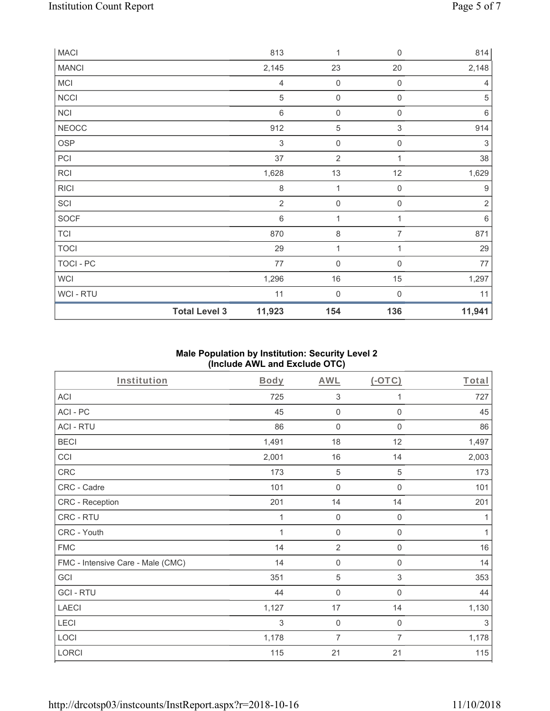| <b>MACI</b>  |                      | 813            | 1                   | $\mathbf 0$         | 814                       |
|--------------|----------------------|----------------|---------------------|---------------------|---------------------------|
| <b>MANCI</b> |                      | 2,145          | 23                  | 20                  | 2,148                     |
| MCI          |                      | 4              | $\mathsf{O}\xspace$ | $\mathbf 0$         | 4                         |
| <b>NCCI</b>  |                      | 5              | $\boldsymbol{0}$    | $\boldsymbol{0}$    | $\sqrt{5}$                |
| NCI          |                      | $\,6$          | $\boldsymbol{0}$    | $\boldsymbol{0}$    | $\,6\,$                   |
| <b>NEOCC</b> |                      | 912            | $\sqrt{5}$          | $\,$ 3 $\,$         | 914                       |
| <b>OSP</b>   |                      | $\sqrt{3}$     | $\boldsymbol{0}$    | $\mathsf{O}\xspace$ | $\ensuremath{\mathsf{3}}$ |
| PCI          |                      | 37             | $\overline{2}$      | 1                   | 38                        |
| RCI          |                      | 1,628          | 13                  | 12                  | 1,629                     |
| <b>RICI</b>  |                      | 8              | 1                   | $\mathbf 0$         | $\boldsymbol{9}$          |
| SCI          |                      | $\overline{2}$ | $\mathsf{O}\xspace$ | $\mathbf 0$         | $\sqrt{2}$                |
| SOCF         |                      | $\,6$          | $\mathbf{1}$        | 1                   | $\,6\,$                   |
| <b>TCI</b>   |                      | 870            | 8                   | $\overline{7}$      | 871                       |
| <b>TOCI</b>  |                      | 29             | 1                   |                     | 29                        |
| TOCI - PC    |                      | 77             | $\boldsymbol{0}$    | 0                   | $77$                      |
| <b>WCI</b>   |                      | 1,296          | 16                  | 15                  | 1,297                     |
| WCI - RTU    |                      | 11             | $\boldsymbol{0}$    | $\mathbf 0$         | 11                        |
|              | <b>Total Level 3</b> | 11,923         | 154                 | 136                 | 11,941                    |

## **Male Population by Institution: Security Level 2 (Include AWL and Exclude OTC)**

| Institution                       | <b>Body</b> | <b>AWL</b>          | (OTC)                     | Total        |
|-----------------------------------|-------------|---------------------|---------------------------|--------------|
| <b>ACI</b>                        | 725         | $\sqrt{3}$          | 1                         | 727          |
| ACI-PC                            | 45          | $\mathsf 0$         | $\boldsymbol{0}$          | 45           |
| <b>ACI - RTU</b>                  | 86          | $\mathbf 0$         | $\mathbf 0$               | 86           |
| <b>BECI</b>                       | 1,491       | 18                  | 12                        | 1,497        |
| CCI                               | 2,001       | 16                  | 14                        | 2,003        |
| CRC                               | 173         | $\sqrt{5}$          | $\,$ 5 $\,$               | 173          |
| CRC - Cadre                       | 101         | $\mathsf{O}\xspace$ | $\mathbf 0$               | 101          |
| CRC - Reception                   | 201         | 14                  | 14                        | 201          |
| CRC - RTU                         | 1           | $\mathsf{O}\xspace$ | $\mathsf{O}\xspace$       | 1            |
| CRC - Youth                       | 1           | $\mathsf{O}\xspace$ | $\mathsf{O}\xspace$       | $\mathbf{1}$ |
| <b>FMC</b>                        | 14          | $\overline{2}$      | 0                         | 16           |
| FMC - Intensive Care - Male (CMC) | 14          | $\mathbf 0$         | $\boldsymbol{0}$          | 14           |
| GCI                               | 351         | $\mathbf 5$         | $\ensuremath{\mathsf{3}}$ | 353          |
| <b>GCI-RTU</b>                    | 44          | $\mathbf 0$         | $\boldsymbol{0}$          | 44           |
| <b>LAECI</b>                      | 1,127       | 17                  | 14                        | 1,130        |
| LECI                              | 3           | $\boldsymbol{0}$    | $\mathbf 0$               | 3            |
| LOCI                              | 1,178       | $\overline{7}$      | 7                         | 1,178        |
| <b>LORCI</b>                      | 115         | 21                  | 21                        | 115          |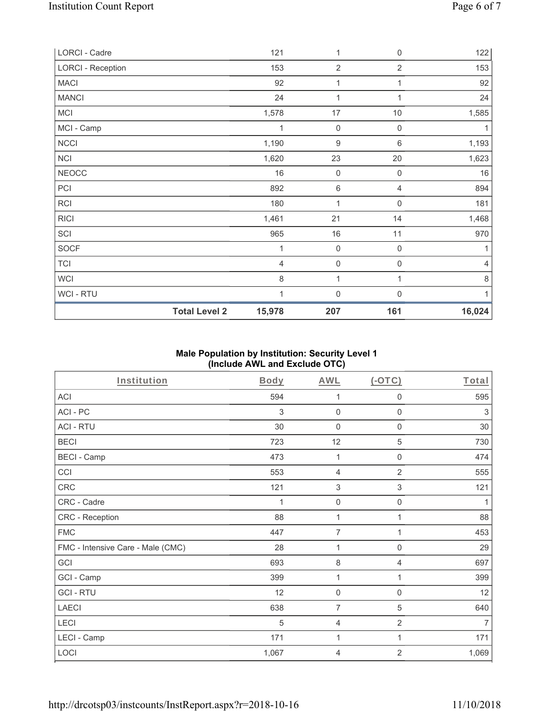| LORCI - Cadre            |                      | 121            | 1                   | $\boldsymbol{0}$    | 122    |
|--------------------------|----------------------|----------------|---------------------|---------------------|--------|
| <b>LORCI - Reception</b> |                      | 153            | $\overline{2}$      | $\overline{2}$      | 153    |
| <b>MACI</b>              |                      | 92             | 1                   | 1                   | 92     |
| <b>MANCI</b>             |                      | 24             | 1                   | 1                   | 24     |
| MCI                      |                      | 1,578          | 17                  | $10$                | 1,585  |
| MCI - Camp               |                      | 1              | $\mathbf 0$         | $\mathsf{O}\xspace$ | 1      |
| NCCI                     |                      | 1,190          | $\boldsymbol{9}$    | $6\,$               | 1,193  |
| <b>NCI</b>               |                      | 1,620          | 23                  | 20                  | 1,623  |
| <b>NEOCC</b>             |                      | 16             | $\mathbf 0$         | 0                   | 16     |
| PCI                      |                      | 892            | $\,6\,$             | 4                   | 894    |
| RCI                      |                      | 180            | $\mathbf{1}$        | $\boldsymbol{0}$    | 181    |
| <b>RICI</b>              |                      | 1,461          | 21                  | 14                  | 1,468  |
| SCI                      |                      | 965            | 16                  | 11                  | 970    |
| SOCF                     |                      | 1              | $\mathsf{O}\xspace$ | $\mathbf 0$         |        |
| <b>TCI</b>               |                      | $\overline{4}$ | $\mathsf{O}\xspace$ | 0                   | 4      |
| WCI                      |                      | 8              | 1                   | 1                   | 8      |
| WCI - RTU                |                      | 1              | $\mathsf{O}\xspace$ | $\mathbf 0$         | 1      |
|                          | <b>Total Level 2</b> | 15,978         | 207                 | 161                 | 16,024 |

## **Male Population by Institution: Security Level 1 (Include AWL and Exclude OTC)**

| <b>Institution</b>                | <b>Body</b> | <b>AWL</b>                | (OTC)                     | Total          |
|-----------------------------------|-------------|---------------------------|---------------------------|----------------|
| ACI                               | 594         | 1                         | $\mathbf 0$               | 595            |
| ACI-PC                            | 3           | $\mathbf 0$               | $\mathbf 0$               | 3              |
| <b>ACI - RTU</b>                  | 30          | $\mathbf 0$               | $\boldsymbol{0}$          | 30             |
| <b>BECI</b>                       | 723         | 12                        | 5                         | 730            |
| <b>BECI - Camp</b>                | 473         | 1                         | $\boldsymbol{0}$          | 474            |
| CCI                               | 553         | 4                         | $\overline{2}$            | 555            |
| CRC                               | 121         | $\ensuremath{\mathsf{3}}$ | $\ensuremath{\mathsf{3}}$ | 121            |
| CRC - Cadre                       | 1           | $\mathsf{O}\xspace$       | $\mathbf 0$               | 1              |
| CRC - Reception                   | 88          | 1                         | 1                         | 88             |
| <b>FMC</b>                        | 447         | $\overline{7}$            | 1                         | 453            |
| FMC - Intensive Care - Male (CMC) | 28          | 1                         | $\mathsf{O}\xspace$       | 29             |
| GCI                               | 693         | $\,8\,$                   | $\overline{4}$            | 697            |
| GCI - Camp                        | 399         | 1                         | 1                         | 399            |
| <b>GCI-RTU</b>                    | 12          | $\mathbf 0$               | 0                         | 12             |
| <b>LAECI</b>                      | 638         | 7                         | 5                         | 640            |
| LECI                              | 5           | $\overline{4}$            | $\overline{2}$            | $\overline{7}$ |
| LECI - Camp                       | 171         | 1                         | 1                         | 171            |
| LOCI                              | 1,067       | 4                         | 2                         | 1,069          |